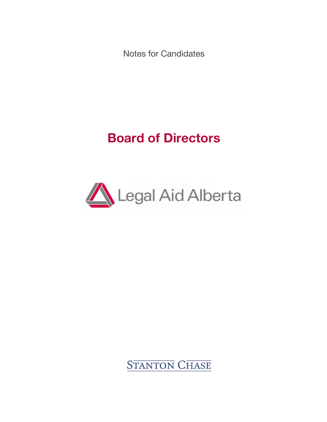Notes for Candidates

# **Board of Directors**



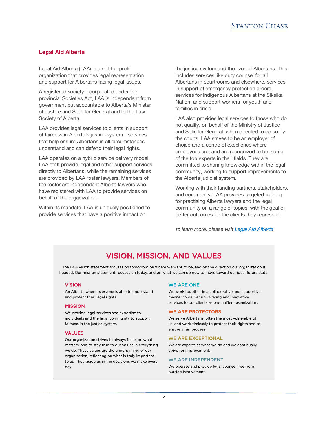

# **Legal Aid Alberta**

Legal Aid Alberta (LAA) is a not-for-profit organization that provides legal representation and support for Albertans facing legal issues.

A registered society incorporated under the provincial Societies Act, LAA is independent from government but accountable to Alberta's Minister of Justice and Solicitor General and to the Law Society of Alberta.

LAA provides legal services to clients in support of fairness in Alberta's justice system—services that help ensure Albertans in all circumstances understand and can defend their legal rights.

LAA operates on a hybrid service delivery model. LAA staff provide legal and other support services directly to Albertans, while the remaining services are provided by LAA roster lawyers. Members of the roster are independent Alberta lawyers who have registered with LAA to provide services on behalf of the organization.

Within its mandate, LAA is uniquely positioned to provide services that have a positive impact on

the justice system and the lives of Albertans. This includes services like duty counsel for all Albertans in courtrooms and elsewhere, services in support of emergency protection orders, services for Indigenous Albertans at the Siksika Nation, and support workers for youth and families in crisis.

LAA also provides legal services to those who do not qualify, on behalf of the Ministry of Justice and Solicitor General, when directed to do so by the courts. LAA strives to be an employer of choice and a centre of excellence where employees are, and are recognized to be, some of the top experts in their fields. They are committed to sharing knowledge within the legal community, working to support improvements to the Alberta judicial system.

Working with their funding partners, stakeholders, and community, LAA provides targeted training for practising Alberta lawyers and the legal community on a range of topics, with the goal of better outcomes for the clients they represent.

*to learn more, please visi[t Legal Aid Alberta](https://www.legalaid.ab.ca)*

# **VISION, MISSION, AND VALUES**

The LAA vision statement focuses on tomorrow, on where we want to be, and on the direction our organization is headed. Our mission statement focuses on today, and on what we can do now to move toward our ideal future state.

## **VISION**

An Alberta where everyone is able to understand and protect their legal rights.

#### **MISSION**

We provide legal services and expertise to individuals and the legal community to support fairness in the justice system.

#### **VALUES**

Our organization strives to always focus on what matters, and to stay true to our values in everything we do. These values are the underpinning of our organization, reflecting on what is truly important to us. They guide us in the decisions we make every day.

#### **WE ARE ONE**

We work together in a collaborative and supportive manner to deliver unwavering and innovative services to our clients as one unified organization.

#### **WE ARE PROTECTORS**

We serve Albertans, often the most vulnerable of us, and work tirelessly to protect their rights and to ensure a fair process.

### **WE ARE EXCEPTIONAL**

We are experts at what we do and we continually strive for improvement.

#### **WF ARF INDEPENDENT**

We operate and provide legal counsel free from outside involvement.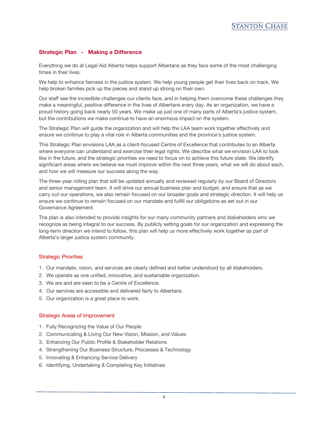# **Strategic Plan - Making a Difference**

Everything we do at Legal Aid Alberta helps support Albertans as they face some of the most challenging times in their lives.

We help to enhance fairness in the justice system. We help young people get their lives back on track. We help broken families pick up the pieces and stand up strong on their own.

Our staff see the incredible challenges our clients face, and in helping them overcome these challenges they make a meaningful, positive difference in the lives of Albertans every day. As an organization, we have a proud history going back nearly 50 years. We make up just one of many parts of Alberta's justice system, but the contributions we make continue to have an enormous impact on the system.

The Strategic Plan will guide the organization and will help the LAA team work together effectively and ensure we continue to play a vital role in Alberta communities and the province's justice system.

This Strategic Plan envisions LAA as a client-focused Centre of Excellence that contributes to an Alberta where everyone can understand and exercise their legal rights. We describe what we envision LAA to look like in the future, and the strategic priorities we need to focus on to achieve this future state. We identify significant areas where we believe we must improve within the next three years, what we will do about each, and how we will measure our success along the way.

The three-year rolling plan that will be updated annually and reviewed regularly by our Board of Directors and senior management team. It will drive our annual business plan and budget, and ensure that as we carry out our operations, we also remain focused on our broader goals and strategic direction. It will help us ensure we continue to remain focused on our mandate and fulfill our obligations as set out in our Governance Agreement.

The plan is also intended to provide insights for our many community partners and stakeholders who we recognize as being integral to our success. By publicly setting goals for our organization and expressing the long-term direction we intend to follow, this plan will help us more effectively work together as part of Alberta's larger justice system community.

# Strategic Priorities

- 1. Our mandate, vision, and services are clearly defined and better understood by all stakeholders.
- 2. We operate as one unified, innovative, and sustainable organization.
- 3. We are and are seen to be a Centre of Excellence.
- 4. Our services are accessible and delivered fairly to Albertans.
- 5. Our organization is a great place to work.

# Strategic Areas of Improvement

- 1. Fully Recognizing the Value of Our People
- 2. Communicating & Living Our New Vision, Mission, and Values
- 3. Enhancing Our Public Profile & Stakeholder Relations
- 4. Strengthening Our Business Structure, Processes & Technology
- 5. Innovating & Enhancing Service Delivery
- 6. Identifying, Undertaking & Completing Key Initiatives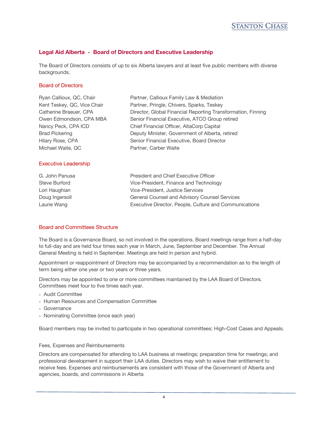

# **Legal Aid Alberta - Board of Directors and Executive Leadership**

The Board of Directors consists of up to six Alberta lawyers and at least five public members with diverse backgrounds.

# Board of Directors

| Ryan Callioux, QC, Chair    | Partner, Callioux Family Law & Mediation                     |
|-----------------------------|--------------------------------------------------------------|
| Kent Teskey, QC, Vice Chair | Partner, Pringle, Chivers, Sparks, Teskey                    |
| Catherine Braeuer, CPA      | Director, Global Financial Reporting Transformation, Finning |
| Owen Edmondson, CPA MBA     | Senior Financial Executive, ATCO Group retired               |
| Nancy Peck, CPA ICD         | Chief Financial Officer, AltaCorp Capital                    |
| <b>Brad Pickering</b>       | Deputy Minister, Government of Alberta, retired              |
| Hilary Rose, CPA            | Senior Financial Executive, Board Director                   |
| Michael Waite, QC           | Partner, Carber Waite                                        |
|                             |                                                              |
| <b>Executive Leadership</b> |                                                              |

| G. John Panusa | President and Chief Executive Officer                  |
|----------------|--------------------------------------------------------|
| Steve Burford  | Vice-President, Finance and Technology                 |
| Lori Haughian  | Vice-President. Justice Services                       |
| Doug Ingersoll | General Counsel and Advisory Counsel Services          |
| Laurie Wang    | Executive Director, People, Culture and Communications |

# Board and Committees Structure

The Board is a Governance Board, so not involved in the operations. Board meetings range from a half-day to full-day and are held four times each year in March, June, September and December. The Annual General Meeting is held in September. Meetings are held in person and hybrid.

Appointment or reappointment of Directors may be accompanied by a recommendation as to the length of term being either one year or two years or three years.

Directors may be appointed to one or more committees maintained by the LAA Board of Directors. Committees meet four to five times each year.

- Audit Committee
- Human Resources and Compensation Committee
- Governance
- Nominating Committee (once each year)

Board members may be invited to participate in two operational committees: High-Cost Cases and Appeals.

# Fees, Expenses and Reimbursements

Directors are compensated for attending to LAA business at meetings; preparation time for meetings; and professional development in support their LAA duties. Directors may wish to waive their entitlement to receive fees. Expenses and reimbursements are consistent with those of the Government of Alberta and agencies, boards, and commissions in Alberta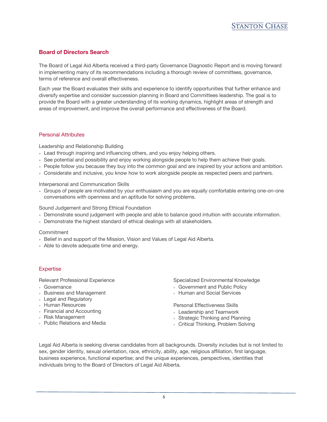# **Board of Directors Search**

The Board of Legal Aid Alberta received a third-party Governance Diagnostic Report and is moving forward in implementing many of its recommendations including a thorough review of committees, governance, terms of reference and overall effectiveness.

Each year the Board evaluates their skills and experience to identify opportunities that further enhance and diversify expertise and consider succession planning in Board and Committees leadership. The goal is to provide the Board with a greater understanding of its working dynamics, highlight areas of strength and areas of improvement, and improve the overall performance and effectiveness of the Board.

# Personal Attributes

Leadership and Relationship Building

- Lead through inspiring and influencing others, and you enjoy helping others.
- See potential and possibility and enjoy working alongside people to help them achieve their goals.
- People follow you because they buy into the common goal and are inspired by your actions and ambition.
- Considerate and inclusive, you know how to work alongside people as respected peers and partners.

Interpersonal and Communication Skills

• Groups of people are motivated by your enthusiasm and you are equally comfortable entering one-on-one conversations with openness and an aptitude for solving problems.

Sound Judgement and Strong Ethical Foundation

- Demonstrate sound judgement with people and able to balance good intuition with accurate information.
- Demonstrate the highest standard of ethical dealings with all stakeholders.

# **Commitment**

- Belief in and support of the Mission, Vision and Values of Legal Aid Alberta.
- Able to devote adequate time and energy.

# **Expertise**

Relevant Professional Experience

- Governance
- Business and Management
- Legal and Regulatory
- Human Resources
- Financial and Accounting
- Risk Management
- Public Relations and Media

Specialized Environmental Knowledge

- Government and Public Policy
- Human and Social Services

Personal Effectiveness Skills

- Leadership and Teamwork
- Strategic Thinking and Planning
- Critical Thinking, Problem Solving

Legal Aid Alberta is seeking diverse candidates from all backgrounds. Diversity includes but is not limited to sex, gender identity, sexual orientation, race, ethnicity, ability, age, religious affiliation, first language, business experience, functional expertise; and the unique experiences, perspectives, identities that individuals bring to the Board of Directors of Legal Aid Alberta.